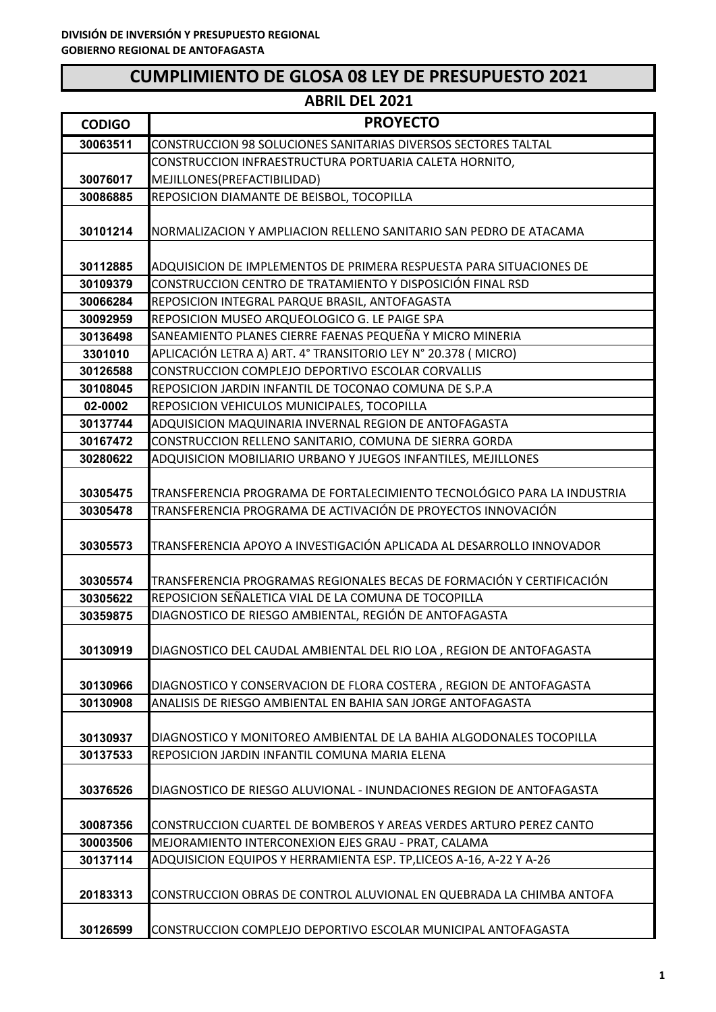# **CUMPLIMIENTO DE GLOSA 08 LEY DE PRESUPUESTO 2021**

|               | <b>ABRIL DEL 2021</b>                                                   |
|---------------|-------------------------------------------------------------------------|
| <b>CODIGO</b> | <b>PROYECTO</b>                                                         |
| 30063511      | CONSTRUCCION 98 SOLUCIONES SANITARIAS DIVERSOS SECTORES TALTAL          |
|               | CONSTRUCCION INFRAESTRUCTURA PORTUARIA CALETA HORNITO,                  |
| 30076017      | MEJILLONES(PREFACTIBILIDAD)                                             |
| 30086885      | REPOSICION DIAMANTE DE BEISBOL, TOCOPILLA                               |
|               |                                                                         |
| 30101214      | NORMALIZACION Y AMPLIACION RELLENO SANITARIO SAN PEDRO DE ATACAMA       |
|               |                                                                         |
| 30112885      | ADQUISICION DE IMPLEMENTOS DE PRIMERA RESPUESTA PARA SITUACIONES DE     |
| 30109379      | CONSTRUCCION CENTRO DE TRATAMIENTO Y DISPOSICIÓN FINAL RSD              |
| 30066284      | REPOSICION INTEGRAL PARQUE BRASIL, ANTOFAGASTA                          |
| 30092959      | REPOSICION MUSEO ARQUEOLOGICO G. LE PAIGE SPA                           |
| 30136498      | SANEAMIENTO PLANES CIERRE FAENAS PEQUEÑA Y MICRO MINERIA                |
| 3301010       | APLICACIÓN LETRA A) ART. 4° TRANSITORIO LEY N° 20.378 ( MICRO)          |
| 30126588      | CONSTRUCCION COMPLEJO DEPORTIVO ESCOLAR CORVALLIS                       |
| 30108045      | REPOSICION JARDIN INFANTIL DE TOCONAO COMUNA DE S.P.A                   |
| 02-0002       | REPOSICION VEHICULOS MUNICIPALES, TOCOPILLA                             |
| 30137744      | ADQUISICION MAQUINARIA INVERNAL REGION DE ANTOFAGASTA                   |
| 30167472      | CONSTRUCCION RELLENO SANITARIO, COMUNA DE SIERRA GORDA                  |
| 30280622      | ADQUISICION MOBILIARIO URBANO Y JUEGOS INFANTILES, MEJILLONES           |
| 30305475      | TRANSFERENCIA PROGRAMA DE FORTALECIMIENTO TECNOLÓGICO PARA LA INDUSTRIA |
| 30305478      | TRANSFERENCIA PROGRAMA DE ACTIVACIÓN DE PROYECTOS INNOVACIÓN            |
|               |                                                                         |
| 30305573      | TRANSFERENCIA APOYO A INVESTIGACIÓN APLICADA AL DESARROLLO INNOVADOR    |
|               |                                                                         |
| 30305574      | TRANSFERENCIA PROGRAMAS REGIONALES BECAS DE FORMACIÓN Y CERTIFICACIÓN   |
| 30305622      | REPOSICION SEÑALETICA VIAL DE LA COMUNA DE TOCOPILLA                    |
| 30359875      | DIAGNOSTICO DE RIESGO AMBIENTAL, REGIÓN DE ANTOFAGASTA                  |
|               |                                                                         |
| 30130919      | DIAGNOSTICO DEL CAUDAL AMBIENTAL DEL RIO LOA, REGION DE ANTOFAGASTA     |
|               |                                                                         |
| 30130966      | DIAGNOSTICO Y CONSERVACION DE FLORA COSTERA, REGION DE ANTOFAGASTA      |
| 30130908      | ANALISIS DE RIESGO AMBIENTAL EN BAHIA SAN JORGE ANTOFAGASTA             |
|               |                                                                         |
| 30130937      | DIAGNOSTICO Y MONITOREO AMBIENTAL DE LA BAHIA ALGODONALES TOCOPILLA     |
| 30137533      | REPOSICION JARDIN INFANTIL COMUNA MARIA ELENA                           |
| 30376526      | DIAGNOSTICO DE RIESGO ALUVIONAL - INUNDACIONES REGION DE ANTOFAGASTA    |
|               |                                                                         |
| 30087356      | CONSTRUCCION CUARTEL DE BOMBEROS Y AREAS VERDES ARTURO PEREZ CANTO      |
| 30003506      | MEJORAMIENTO INTERCONEXION EJES GRAU - PRAT, CALAMA                     |
| 30137114      | ADQUISICION EQUIPOS Y HERRAMIENTA ESP. TP,LICEOS A-16, A-22 Y A-26      |
|               |                                                                         |
| 20183313      | CONSTRUCCION OBRAS DE CONTROL ALUVIONAL EN QUEBRADA LA CHIMBA ANTOFA    |
|               |                                                                         |
| 30126599      | CONSTRUCCION COMPLEJO DEPORTIVO ESCOLAR MUNICIPAL ANTOFAGASTA           |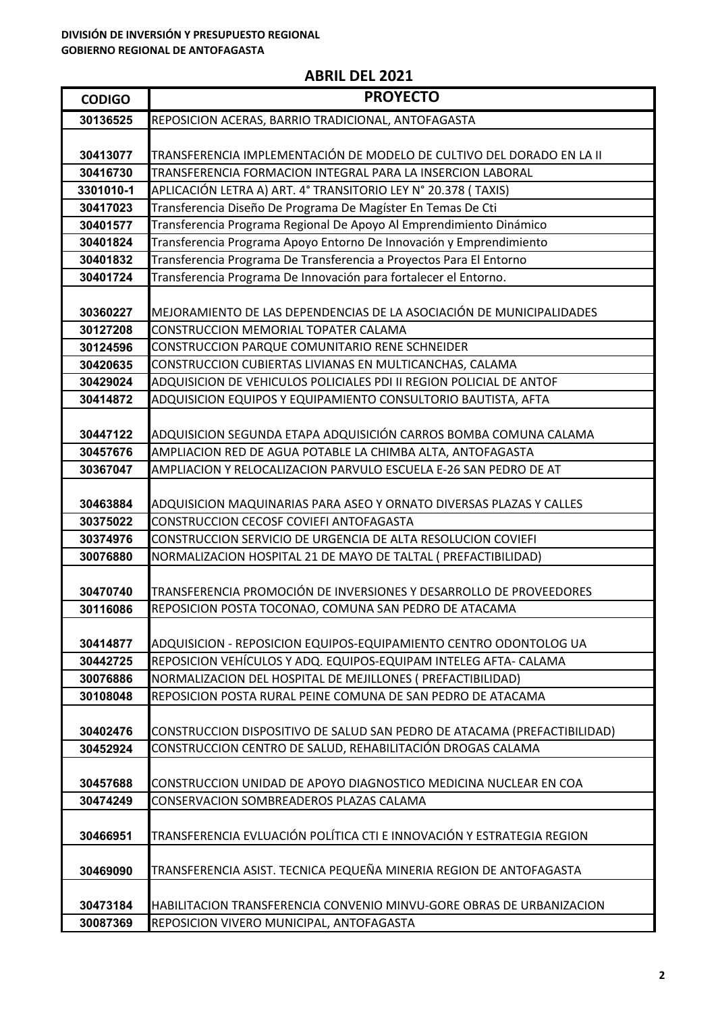| <b>CODIGO</b>        | <b>PROYECTO</b>                                                                                         |
|----------------------|---------------------------------------------------------------------------------------------------------|
| 30136525             | REPOSICION ACERAS, BARRIO TRADICIONAL, ANTOFAGASTA                                                      |
|                      |                                                                                                         |
| 30413077             | TRANSFERENCIA IMPLEMENTACIÓN DE MODELO DE CULTIVO DEL DORADO EN LA II                                   |
| 30416730             | TRANSFERENCIA FORMACION INTEGRAL PARA LA INSERCION LABORAL                                              |
| 3301010-1            | APLICACIÓN LETRA A) ART. 4° TRANSITORIO LEY N° 20.378 (TAXIS)                                           |
| 30417023             | Transferencia Diseño De Programa De Magíster En Temas De Cti                                            |
| 30401577             | Transferencia Programa Regional De Apoyo Al Emprendimiento Dinámico                                     |
| 30401824             | Transferencia Programa Apoyo Entorno De Innovación y Emprendimiento                                     |
| 30401832             | Transferencia Programa De Transferencia a Proyectos Para El Entorno                                     |
| 30401724             | Transferencia Programa De Innovación para fortalecer el Entorno.                                        |
|                      |                                                                                                         |
| 30360227             | MEJORAMIENTO DE LAS DEPENDENCIAS DE LA ASOCIACIÓN DE MUNICIPALIDADES                                    |
| 30127208             | CONSTRUCCION MEMORIAL TOPATER CALAMA                                                                    |
| 30124596             | CONSTRUCCION PARQUE COMUNITARIO RENE SCHNEIDER                                                          |
| 30420635             | CONSTRUCCION CUBIERTAS LIVIANAS EN MULTICANCHAS, CALAMA                                                 |
| 30429024             | ADQUISICION DE VEHICULOS POLICIALES PDI II REGION POLICIAL DE ANTOF                                     |
| 30414872             | ADQUISICION EQUIPOS Y EQUIPAMIENTO CONSULTORIO BAUTISTA, AFTA                                           |
|                      |                                                                                                         |
| 30447122             | ADQUISICION SEGUNDA ETAPA ADQUISICIÓN CARROS BOMBA COMUNA CALAMA                                        |
| 30457676             | AMPLIACION RED DE AGUA POTABLE LA CHIMBA ALTA, ANTOFAGASTA                                              |
| 30367047             | AMPLIACION Y RELOCALIZACION PARVULO ESCUELA E-26 SAN PEDRO DE AT                                        |
|                      |                                                                                                         |
| 30463884             | ADQUISICION MAQUINARIAS PARA ASEO Y ORNATO DIVERSAS PLAZAS Y CALLES                                     |
| 30375022             | CONSTRUCCION CECOSF COVIEFI ANTOFAGASTA<br>CONSTRUCCION SERVICIO DE URGENCIA DE ALTA RESOLUCION COVIEFI |
| 30374976<br>30076880 | NORMALIZACION HOSPITAL 21 DE MAYO DE TALTAL ( PREFACTIBILIDAD)                                          |
|                      |                                                                                                         |
| 30470740             | TRANSFERENCIA PROMOCIÓN DE INVERSIONES Y DESARROLLO DE PROVEEDORES                                      |
| 30116086             | REPOSICION POSTA TOCONAO, COMUNA SAN PEDRO DE ATACAMA                                                   |
|                      |                                                                                                         |
| 30414877             | ADQUISICION - REPOSICION EQUIPOS-EQUIPAMIENTO CENTRO ODONTOLOG UA                                       |
| 30442725             | REPOSICION VEHÍCULOS Y ADQ. EQUIPOS-EQUIPAM INTELEG AFTA- CALAMA                                        |
| 30076886             | NORMALIZACION DEL HOSPITAL DE MEJILLONES (PREFACTIBILIDAD)                                              |
| 30108048             | REPOSICION POSTA RURAL PEINE COMUNA DE SAN PEDRO DE ATACAMA                                             |
|                      |                                                                                                         |
| 30402476             | CONSTRUCCION DISPOSITIVO DE SALUD SAN PEDRO DE ATACAMA (PREFACTIBILIDAD)                                |
| 30452924             | CONSTRUCCION CENTRO DE SALUD, REHABILITACIÓN DROGAS CALAMA                                              |
|                      |                                                                                                         |
| 30457688             | CONSTRUCCION UNIDAD DE APOYO DIAGNOSTICO MEDICINA NUCLEAR EN COA                                        |
| 30474249             | CONSERVACION SOMBREADEROS PLAZAS CALAMA                                                                 |
|                      |                                                                                                         |
| 30466951             | TRANSFERENCIA EVLUACIÓN POLÍTICA CTI E INNOVACIÓN Y ESTRATEGIA REGION                                   |
|                      |                                                                                                         |
| 30469090             | TRANSFERENCIA ASIST. TECNICA PEQUEÑA MINERIA REGION DE ANTOFAGASTA                                      |
|                      |                                                                                                         |
| 30473184             | HABILITACION TRANSFERENCIA CONVENIO MINVU-GORE OBRAS DE URBANIZACION                                    |
| 30087369             | REPOSICION VIVERO MUNICIPAL, ANTOFAGASTA                                                                |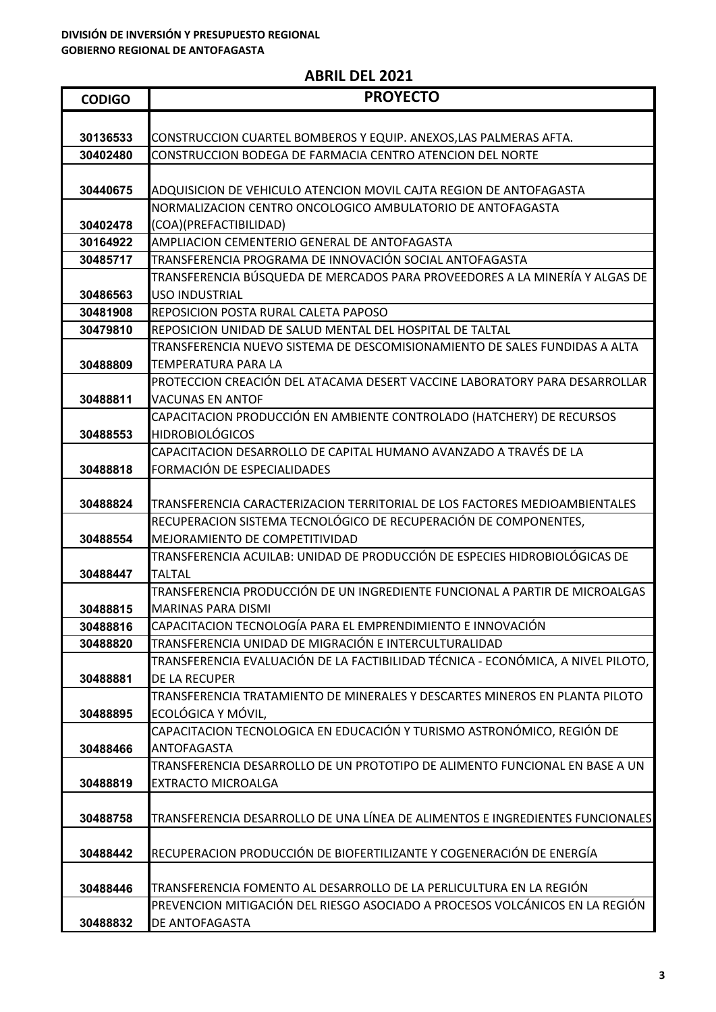| <b>CODIGO</b> | <b>PROYECTO</b>                                                                  |
|---------------|----------------------------------------------------------------------------------|
|               |                                                                                  |
| 30136533      | CONSTRUCCION CUARTEL BOMBEROS Y EQUIP. ANEXOS,LAS PALMERAS AFTA.                 |
| 30402480      | CONSTRUCCION BODEGA DE FARMACIA CENTRO ATENCION DEL NORTE                        |
| 30440675      | ADQUISICION DE VEHICULO ATENCION MOVIL CAJTA REGION DE ANTOFAGASTA               |
|               | NORMALIZACION CENTRO ONCOLOGICO AMBULATORIO DE ANTOFAGASTA                       |
| 30402478      | (COA)(PREFACTIBILIDAD)                                                           |
| 30164922      | AMPLIACION CEMENTERIO GENERAL DE ANTOFAGASTA                                     |
| 30485717      | TRANSFERENCIA PROGRAMA DE INNOVACIÓN SOCIAL ANTOFAGASTA                          |
|               | TRANSFERENCIA BÚSQUEDA DE MERCADOS PARA PROVEEDORES A LA MINERÍA Y ALGAS DE      |
| 30486563      | <b>USO INDUSTRIAL</b>                                                            |
| 30481908      | REPOSICION POSTA RURAL CALETA PAPOSO                                             |
| 30479810      | REPOSICION UNIDAD DE SALUD MENTAL DEL HOSPITAL DE TALTAL                         |
|               | TRANSFERENCIA NUEVO SISTEMA DE DESCOMISIONAMIENTO DE SALES FUNDIDAS A ALTA       |
| 30488809      | TEMPERATURA PARA LA                                                              |
|               | PROTECCION CREACIÓN DEL ATACAMA DESERT VACCINE LABORATORY PARA DESARROLLAR       |
| 30488811      | <b>VACUNAS EN ANTOF</b>                                                          |
|               | CAPACITACION PRODUCCIÓN EN AMBIENTE CONTROLADO (HATCHERY) DE RECURSOS            |
| 30488553      | <b>HIDROBIOLÓGICOS</b>                                                           |
|               | CAPACITACION DESARROLLO DE CAPITAL HUMANO AVANZADO A TRAVÉS DE LA                |
| 30488818      | FORMACIÓN DE ESPECIALIDADES                                                      |
|               |                                                                                  |
| 30488824      | TRANSFERENCIA CARACTERIZACION TERRITORIAL DE LOS FACTORES MEDIOAMBIENTALES       |
|               | RECUPERACION SISTEMA TECNOLÓGICO DE RECUPERACIÓN DE COMPONENTES,                 |
| 30488554      | MEJORAMIENTO DE COMPETITIVIDAD                                                   |
|               | TRANSFERENCIA ACUILAB: UNIDAD DE PRODUCCIÓN DE ESPECIES HIDROBIOLÓGICAS DE       |
| 30488447      | TALTAL                                                                           |
|               | TRANSFERENCIA PRODUCCIÓN DE UN INGREDIENTE FUNCIONAL A PARTIR DE MICROALGAS      |
| 30488815      | <b>MARINAS PARA DISMI</b>                                                        |
| 30488816      | CAPACITACION TECNOLOGÍA PARA EL EMPRENDIMIENTO E INNOVACIÓN                      |
| 30488820      | TRANSFERENCIA UNIDAD DE MIGRACIÓN E INTERCULTURALIDAD                            |
|               | TRANSFERENCIA EVALUACIÓN DE LA FACTIBILIDAD TÉCNICA - ECONÓMICA, A NIVEL PILOTO, |
| 30488881      | DE LA RECUPER                                                                    |
|               | TRANSFERENCIA TRATAMIENTO DE MINERALES Y DESCARTES MINEROS EN PLANTA PILOTO      |
| 30488895      | ECOLÓGICA Y MÓVIL,                                                               |
|               | CAPACITACION TECNOLOGICA EN EDUCACIÓN Y TURISMO ASTRONÓMICO, REGIÓN DE           |
| 30488466      | <b>ANTOFAGASTA</b>                                                               |
|               | TRANSFERENCIA DESARROLLO DE UN PROTOTIPO DE ALIMENTO FUNCIONAL EN BASE A UN      |
| 30488819      | <b>EXTRACTO MICROALGA</b>                                                        |
|               |                                                                                  |
| 30488758      | TRANSFERENCIA DESARROLLO DE UNA LÍNEA DE ALIMENTOS E INGREDIENTES FUNCIONALES    |
|               |                                                                                  |
| 30488442      | RECUPERACION PRODUCCIÓN DE BIOFERTILIZANTE Y COGENERACIÓN DE ENERGÍA             |
|               |                                                                                  |
| 30488446      | TRANSFERENCIA FOMENTO AL DESARROLLO DE LA PERLICULTURA EN LA REGIÓN              |
|               | PREVENCION MITIGACIÓN DEL RIESGO ASOCIADO A PROCESOS VOLCÁNICOS EN LA REGIÓN     |
| 30488832      | DE ANTOFAGASTA                                                                   |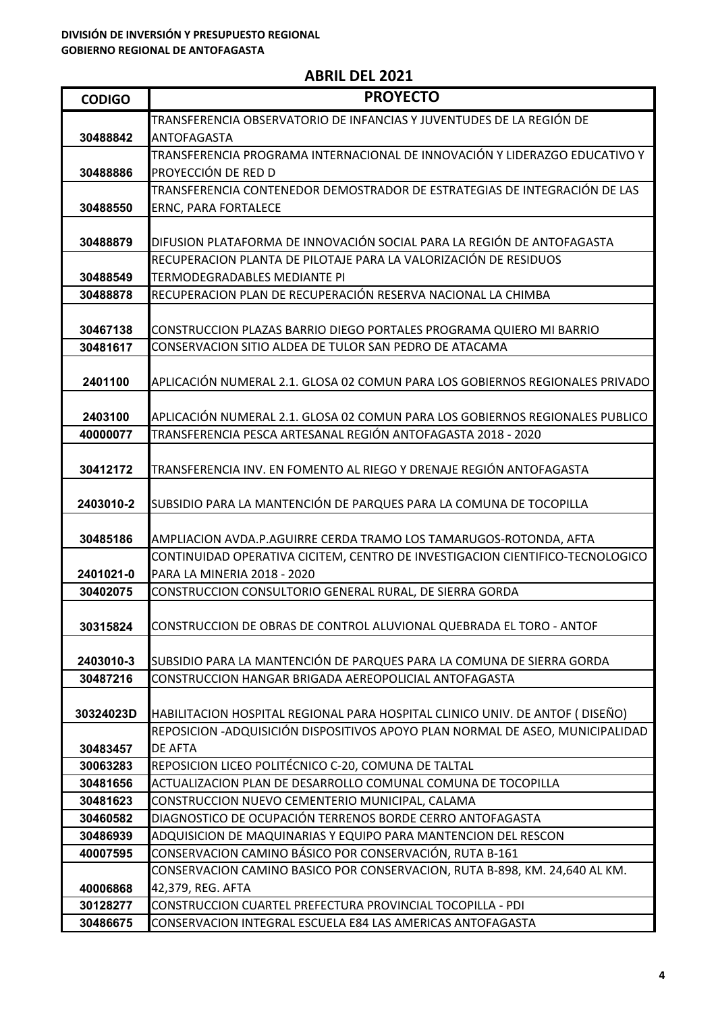| <b>CODIGO</b>         | <b>PROYECTO</b>                                                                                                                |
|-----------------------|--------------------------------------------------------------------------------------------------------------------------------|
|                       | TRANSFERENCIA OBSERVATORIO DE INFANCIAS Y JUVENTUDES DE LA REGIÓN DE                                                           |
| 30488842              | ANTOFAGASTA                                                                                                                    |
|                       | TRANSFERENCIA PROGRAMA INTERNACIONAL DE INNOVACIÓN Y LIDERAZGO EDUCATIVO Y                                                     |
| 30488886              | PROYECCIÓN DE RED D                                                                                                            |
|                       | TRANSFERENCIA CONTENEDOR DEMOSTRADOR DE ESTRATEGIAS DE INTEGRACIÓN DE LAS                                                      |
| 30488550              | <b>ERNC, PARA FORTALECE</b>                                                                                                    |
| 30488879              | DIFUSION PLATAFORMA DE INNOVACIÓN SOCIAL PARA LA REGIÓN DE ANTOFAGASTA                                                         |
|                       | RECUPERACION PLANTA DE PILOTAJE PARA LA VALORIZACIÓN DE RESIDUOS                                                               |
| 30488549              | TERMODEGRADABLES MEDIANTE PI                                                                                                   |
| 30488878              | RECUPERACION PLAN DE RECUPERACIÓN RESERVA NACIONAL LA CHIMBA                                                                   |
|                       |                                                                                                                                |
| 30467138              | CONSTRUCCION PLAZAS BARRIO DIEGO PORTALES PROGRAMA QUIERO MI BARRIO                                                            |
| 30481617              | CONSERVACION SITIO ALDEA DE TULOR SAN PEDRO DE ATACAMA                                                                         |
|                       |                                                                                                                                |
| 2401100               | APLICACIÓN NUMERAL 2.1. GLOSA 02 COMUN PARA LOS GOBIERNOS REGIONALES PRIVADO                                                   |
|                       |                                                                                                                                |
| 2403100               | APLICACIÓN NUMERAL 2.1. GLOSA 02 COMUN PARA LOS GOBIERNOS REGIONALES PUBLICO                                                   |
| 40000077              | TRANSFERENCIA PESCA ARTESANAL REGIÓN ANTOFAGASTA 2018 - 2020                                                                   |
|                       | TRANSFERENCIA INV. EN FOMENTO AL RIEGO Y DRENAJE REGIÓN ANTOFAGASTA                                                            |
| 30412172              |                                                                                                                                |
| 2403010-2             | SUBSIDIO PARA LA MANTENCIÓN DE PARQUES PARA LA COMUNA DE TOCOPILLA                                                             |
|                       |                                                                                                                                |
| 30485186              | AMPLIACION AVDA.P.AGUIRRE CERDA TRAMO LOS TAMARUGOS-ROTONDA, AFTA                                                              |
|                       | CONTINUIDAD OPERATIVA CICITEM, CENTRO DE INVESTIGACION CIENTIFICO-TECNOLOGICO                                                  |
| 2401021-0             | PARA LA MINERIA 2018 - 2020                                                                                                    |
| 30402075              | CONSTRUCCION CONSULTORIO GENERAL RURAL, DE SIERRA GORDA                                                                        |
|                       |                                                                                                                                |
| 30315824              | CONSTRUCCION DE OBRAS DE CONTROL ALUVIONAL QUEBRADA EL TORO - ANTOF                                                            |
|                       |                                                                                                                                |
| 2403010-3<br>30487216 | SUBSIDIO PARA LA MANTENCIÓN DE PARQUES PARA LA COMUNA DE SIERRA GORDA<br>CONSTRUCCION HANGAR BRIGADA AEREOPOLICIAL ANTOFAGASTA |
|                       |                                                                                                                                |
| 30324023D             | HABILITACION HOSPITAL REGIONAL PARA HOSPITAL CLINICO UNIV. DE ANTOF (DISEÑO)                                                   |
|                       | REPOSICION - ADQUISICIÓN DISPOSITIVOS APOYO PLAN NORMAL DE ASEO, MUNICIPALIDAD                                                 |
| 30483457              | <b>DE AFTA</b>                                                                                                                 |
| 30063283              | REPOSICION LICEO POLITÉCNICO C-20, COMUNA DE TALTAL                                                                            |
| 30481656              | ACTUALIZACION PLAN DE DESARROLLO COMUNAL COMUNA DE TOCOPILLA                                                                   |
| 30481623              | CONSTRUCCION NUEVO CEMENTERIO MUNICIPAL, CALAMA                                                                                |
| 30460582              | DIAGNOSTICO DE OCUPACIÓN TERRENOS BORDE CERRO ANTOFAGASTA                                                                      |
| 30486939              | ADQUISICION DE MAQUINARIAS Y EQUIPO PARA MANTENCION DEL RESCON                                                                 |
| 40007595              | CONSERVACION CAMINO BÁSICO POR CONSERVACIÓN, RUTA B-161                                                                        |
|                       | CONSERVACION CAMINO BASICO POR CONSERVACION, RUTA B-898, KM. 24,640 AL KM.                                                     |
| 40006868              | 42,379, REG. AFTA                                                                                                              |
| 30128277              | CONSTRUCCION CUARTEL PREFECTURA PROVINCIAL TOCOPILLA - PDI<br>CONSERVACION INTEGRAL ESCUELA E84 LAS AMERICAS ANTOFAGASTA       |
| 30486675              |                                                                                                                                |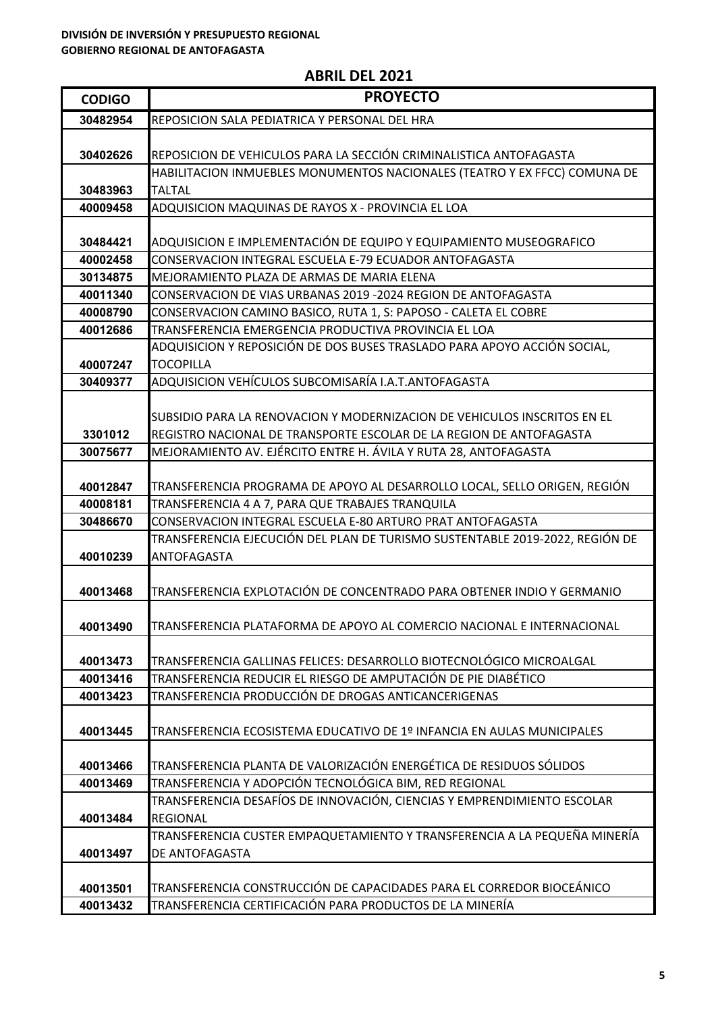| <b>CODIGO</b> | <b>PROYECTO</b>                                                              |
|---------------|------------------------------------------------------------------------------|
| 30482954      | REPOSICION SALA PEDIATRICA Y PERSONAL DEL HRA                                |
|               |                                                                              |
| 30402626      | REPOSICION DE VEHICULOS PARA LA SECCIÓN CRIMINALISTICA ANTOFAGASTA           |
|               | HABILITACION INMUEBLES MONUMENTOS NACIONALES (TEATRO Y EX FFCC) COMUNA DE    |
| 30483963      | <b>TALTAL</b>                                                                |
| 40009458      | ADQUISICION MAQUINAS DE RAYOS X - PROVINCIA EL LOA                           |
|               |                                                                              |
| 30484421      | ADQUISICION E IMPLEMENTACIÓN DE EQUIPO Y EQUIPAMIENTO MUSEOGRAFICO           |
| 40002458      | CONSERVACION INTEGRAL ESCUELA E-79 ECUADOR ANTOFAGASTA                       |
| 30134875      | MEJORAMIENTO PLAZA DE ARMAS DE MARIA ELENA                                   |
| 40011340      | CONSERVACION DE VIAS URBANAS 2019 -2024 REGION DE ANTOFAGASTA                |
| 40008790      | CONSERVACION CAMINO BASICO, RUTA 1, S: PAPOSO - CALETA EL COBRE              |
| 40012686      | TRANSFERENCIA EMERGENCIA PRODUCTIVA PROVINCIA EL LOA                         |
|               | ADQUISICION Y REPOSICIÓN DE DOS BUSES TRASLADO PARA APOYO ACCIÓN SOCIAL,     |
| 40007247      | <b>TOCOPILLA</b>                                                             |
| 30409377      | ADQUISICION VEHÍCULOS SUBCOMISARÍA I.A.T.ANTOFAGASTA                         |
|               |                                                                              |
|               | SUBSIDIO PARA LA RENOVACION Y MODERNIZACION DE VEHICULOS INSCRITOS EN EL     |
| 3301012       | REGISTRO NACIONAL DE TRANSPORTE ESCOLAR DE LA REGION DE ANTOFAGASTA          |
| 30075677      | MEJORAMIENTO AV. EJÉRCITO ENTRE H. ÁVILA Y RUTA 28, ANTOFAGASTA              |
|               |                                                                              |
| 40012847      | TRANSFERENCIA PROGRAMA DE APOYO AL DESARROLLO LOCAL, SELLO ORIGEN, REGIÓN    |
| 40008181      | TRANSFERENCIA 4 A 7, PARA QUE TRABAJES TRANQUILA                             |
| 30486670      | CONSERVACION INTEGRAL ESCUELA E-80 ARTURO PRAT ANTOFAGASTA                   |
|               | TRANSFERENCIA EJECUCIÓN DEL PLAN DE TURISMO SUSTENTABLE 2019-2022, REGIÓN DE |
| 40010239      | <b>ANTOFAGASTA</b>                                                           |
| 40013468      | TRANSFERENCIA EXPLOTACIÓN DE CONCENTRADO PARA OBTENER INDIO Y GERMANIO       |
|               |                                                                              |
| 40013490      | TRANSFERENCIA PLATAFORMA DE APOYO AL COMERCIO NACIONAL E INTERNACIONAL       |
|               |                                                                              |
| 40013473      | TRANSFERENCIA GALLINAS FELICES: DESARROLLO BIOTECNOLÓGICO MICROALGAL         |
| 40013416      | TRANSFERENCIA REDUCIR EL RIESGO DE AMPUTACIÓN DE PIE DIABÉTICO               |
| 40013423      | TRANSFERENCIA PRODUCCIÓN DE DROGAS ANTICANCERIGENAS                          |
|               |                                                                              |
| 40013445      | TRANSFERENCIA ECOSISTEMA EDUCATIVO DE 1º INFANCIA EN AULAS MUNICIPALES       |
|               |                                                                              |
| 40013466      | TRANSFERENCIA PLANTA DE VALORIZACIÓN ENERGÉTICA DE RESIDUOS SÓLIDOS          |
| 40013469      | TRANSFERENCIA Y ADOPCIÓN TECNOLÓGICA BIM, RED REGIONAL                       |
|               | TRANSFERENCIA DESAFÍOS DE INNOVACIÓN, CIENCIAS Y EMPRENDIMIENTO ESCOLAR      |
| 40013484      | <b>REGIONAL</b>                                                              |
|               | TRANSFERENCIA CUSTER EMPAQUETAMIENTO Y TRANSFERENCIA A LA PEQUEÑA MINERÍA    |
| 40013497      | DE ANTOFAGASTA                                                               |
|               |                                                                              |
| 40013501      | TRANSFERENCIA CONSTRUCCIÓN DE CAPACIDADES PARA EL CORREDOR BIOCEÁNICO        |
| 40013432      | TRANSFERENCIA CERTIFICACIÓN PARA PRODUCTOS DE LA MINERÍA                     |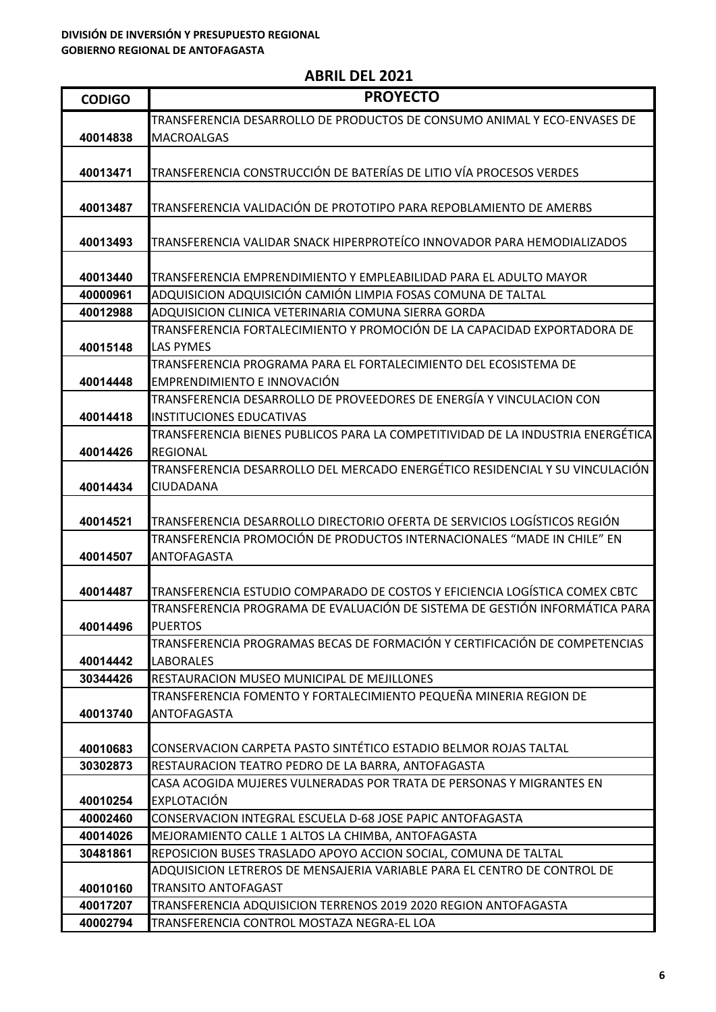| <b>CODIGO</b> | <b>PROYECTO</b>                                                                                                                 |
|---------------|---------------------------------------------------------------------------------------------------------------------------------|
|               | TRANSFERENCIA DESARROLLO DE PRODUCTOS DE CONSUMO ANIMAL Y ECO-ENVASES DE                                                        |
| 40014838      | <b>MACROALGAS</b>                                                                                                               |
|               |                                                                                                                                 |
| 40013471      | TRANSFERENCIA CONSTRUCCIÓN DE BATERÍAS DE LITIO VÍA PROCESOS VERDES                                                             |
|               |                                                                                                                                 |
| 40013487      | TRANSFERENCIA VALIDACIÓN DE PROTOTIPO PARA REPOBLAMIENTO DE AMERBS                                                              |
|               |                                                                                                                                 |
| 40013493      | TRANSFERENCIA VALIDAR SNACK HIPERPROTEÍCO INNOVADOR PARA HEMODIALIZADOS                                                         |
|               |                                                                                                                                 |
| 40013440      | TRANSFERENCIA EMPRENDIMIENTO Y EMPLEABILIDAD PARA EL ADULTO MAYOR                                                               |
| 40000961      | ADQUISICION ADQUISICIÓN CAMIÓN LIMPIA FOSAS COMUNA DE TALTAL                                                                    |
| 40012988      | ADQUISICION CLINICA VETERINARIA COMUNA SIERRA GORDA<br>TRANSFERENCIA FORTALECIMIENTO Y PROMOCIÓN DE LA CAPACIDAD EXPORTADORA DE |
| 40015148      | <b>LAS PYMES</b>                                                                                                                |
|               | TRANSFERENCIA PROGRAMA PARA EL FORTALECIMIENTO DEL ECOSISTEMA DE                                                                |
| 40014448      | EMPRENDIMIENTO E INNOVACIÓN                                                                                                     |
|               | TRANSFERENCIA DESARROLLO DE PROVEEDORES DE ENERGÍA Y VINCULACION CON                                                            |
| 40014418      | <b>INSTITUCIONES EDUCATIVAS</b>                                                                                                 |
|               | TRANSFERENCIA BIENES PUBLICOS PARA LA COMPETITIVIDAD DE LA INDUSTRIA ENERGÉTICA                                                 |
| 40014426      | <b>REGIONAL</b>                                                                                                                 |
|               | TRANSFERENCIA DESARROLLO DEL MERCADO ENERGÉTICO RESIDENCIAL Y SU VINCULACIÓN                                                    |
| 40014434      | <b>CIUDADANA</b>                                                                                                                |
|               |                                                                                                                                 |
| 40014521      | TRANSFERENCIA DESARROLLO DIRECTORIO OFERTA DE SERVICIOS LOGÍSTICOS REGIÓN                                                       |
|               | TRANSFERENCIA PROMOCIÓN DE PRODUCTOS INTERNACIONALES "MADE IN CHILE" EN                                                         |
| 40014507      | <b>ANTOFAGASTA</b>                                                                                                              |
|               |                                                                                                                                 |
| 40014487      | TRANSFERENCIA ESTUDIO COMPARADO DE COSTOS Y EFICIENCIA LOGÍSTICA COMEX CBTC                                                     |
|               | TRANSFERENCIA PROGRAMA DE EVALUACIÓN DE SISTEMA DE GESTIÓN INFORMÁTICA PARA                                                     |
| 40014496      | <b>PUERTOS</b>                                                                                                                  |
|               | TRANSFERENCIA PROGRAMAS BECAS DE FORMACIÓN Y CERTIFICACIÓN DE COMPETENCIAS                                                      |
| 40014442      | <b>LABORALES</b>                                                                                                                |
| 30344426      | RESTAURACION MUSEO MUNICIPAL DE MEJILLONES                                                                                      |
|               | TRANSFERENCIA FOMENTO Y FORTALECIMIENTO PEQUEÑA MINERIA REGION DE                                                               |
| 40013740      | ANTOFAGASTA                                                                                                                     |
| 40010683      | CONSERVACION CARPETA PASTO SINTÉTICO ESTADIO BELMOR ROJAS TALTAL                                                                |
| 30302873      | RESTAURACION TEATRO PEDRO DE LA BARRA, ANTOFAGASTA                                                                              |
|               | CASA ACOGIDA MUJERES VULNERADAS POR TRATA DE PERSONAS Y MIGRANTES EN                                                            |
| 40010254      | <b>EXPLOTACIÓN</b>                                                                                                              |
| 40002460      | CONSERVACION INTEGRAL ESCUELA D-68 JOSE PAPIC ANTOFAGASTA                                                                       |
| 40014026      | MEJORAMIENTO CALLE 1 ALTOS LA CHIMBA, ANTOFAGASTA                                                                               |
| 30481861      | REPOSICION BUSES TRASLADO APOYO ACCION SOCIAL, COMUNA DE TALTAL                                                                 |
|               | ADQUISICION LETREROS DE MENSAJERIA VARIABLE PARA EL CENTRO DE CONTROL DE                                                        |
| 40010160      | <b>TRANSITO ANTOFAGAST</b>                                                                                                      |
| 40017207      | TRANSFERENCIA ADQUISICION TERRENOS 2019 2020 REGION ANTOFAGASTA                                                                 |
| 40002794      | TRANSFERENCIA CONTROL MOSTAZA NEGRA-EL LOA                                                                                      |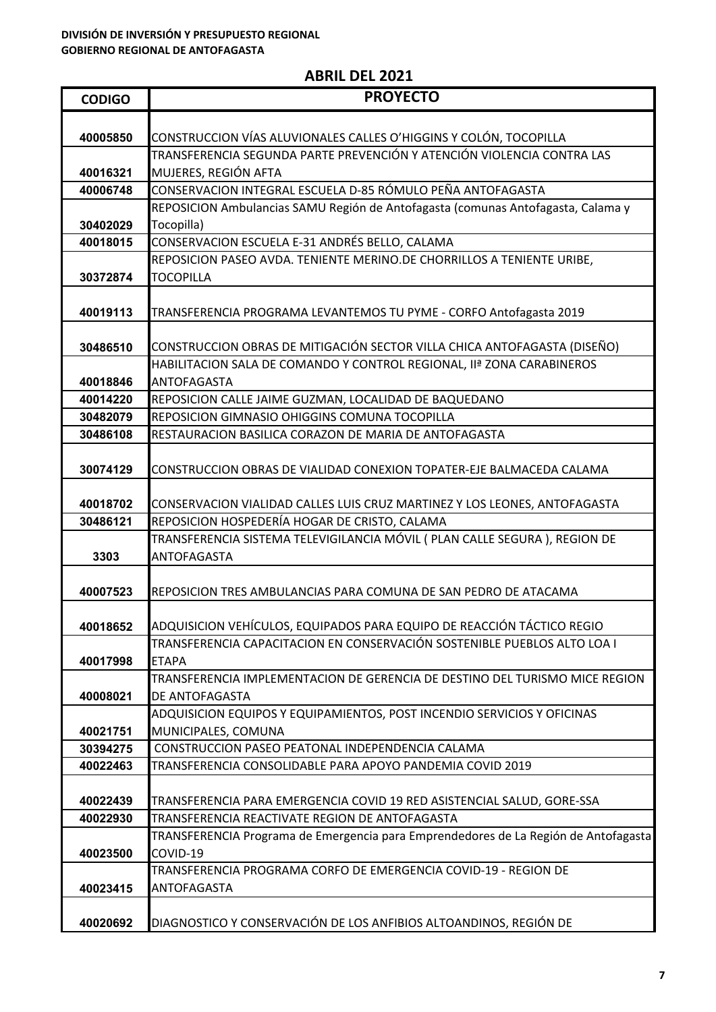| <b>CODIGO</b> | <b>PROYECTO</b>                                                                     |
|---------------|-------------------------------------------------------------------------------------|
|               |                                                                                     |
| 40005850      | CONSTRUCCION VÍAS ALUVIONALES CALLES O'HIGGINS Y COLÓN, TOCOPILLA                   |
|               | TRANSFERENCIA SEGUNDA PARTE PREVENCIÓN Y ATENCIÓN VIOLENCIA CONTRA LAS              |
| 40016321      | MUJERES, REGIÓN AFTA                                                                |
| 40006748      | CONSERVACION INTEGRAL ESCUELA D-85 RÓMULO PEÑA ANTOFAGASTA                          |
|               | REPOSICION Ambulancias SAMU Región de Antofagasta (comunas Antofagasta, Calama y    |
| 30402029      | Tocopilla)                                                                          |
| 40018015      | CONSERVACION ESCUELA E-31 ANDRÉS BELLO, CALAMA                                      |
|               | REPOSICION PASEO AVDA. TENIENTE MERINO.DE CHORRILLOS A TENIENTE URIBE,              |
| 30372874      | <b>TOCOPILLA</b>                                                                    |
|               |                                                                                     |
| 40019113      | TRANSFERENCIA PROGRAMA LEVANTEMOS TU PYME - CORFO Antofagasta 2019                  |
|               |                                                                                     |
| 30486510      | CONSTRUCCION OBRAS DE MITIGACIÓN SECTOR VILLA CHICA ANTOFAGASTA (DISEÑO)            |
|               | HABILITACION SALA DE COMANDO Y CONTROL REGIONAL, IIª ZONA CARABINEROS               |
| 40018846      | ANTOFAGASTA                                                                         |
| 40014220      | REPOSICION CALLE JAIME GUZMAN, LOCALIDAD DE BAQUEDANO                               |
| 30482079      | REPOSICION GIMNASIO OHIGGINS COMUNA TOCOPILLA                                       |
| 30486108      | RESTAURACION BASILICA CORAZON DE MARIA DE ANTOFAGASTA                               |
|               |                                                                                     |
| 30074129      | CONSTRUCCION OBRAS DE VIALIDAD CONEXION TOPATER-EJE BALMACEDA CALAMA                |
|               |                                                                                     |
| 40018702      | CONSERVACION VIALIDAD CALLES LUIS CRUZ MARTINEZ Y LOS LEONES, ANTOFAGASTA           |
| 30486121      | REPOSICION HOSPEDERÍA HOGAR DE CRISTO, CALAMA                                       |
|               | TRANSFERENCIA SISTEMA TELEVIGILANCIA MÓVIL ( PLAN CALLE SEGURA ), REGION DE         |
| 3303          | ANTOFAGASTA                                                                         |
|               |                                                                                     |
| 40007523      | REPOSICION TRES AMBULANCIAS PARA COMUNA DE SAN PEDRO DE ATACAMA                     |
|               |                                                                                     |
| 40018652      | ADQUISICION VEHÍCULOS, EQUIPADOS PARA EQUIPO DE REACCIÓN TÁCTICO REGIO              |
|               | TRANSFERENCIA CAPACITACION EN CONSERVACIÓN SOSTENIBLE PUEBLOS ALTO LOA I            |
| 40017998      | <b>ETAPA</b>                                                                        |
|               | TRANSFERENCIA IMPLEMENTACION DE GERENCIA DE DESTINO DEL TURISMO MICE REGION         |
| 40008021      | DE ANTOFAGASTA                                                                      |
|               | ADQUISICION EQUIPOS Y EQUIPAMIENTOS, POST INCENDIO SERVICIOS Y OFICINAS             |
| 40021751      | MUNICIPALES, COMUNA                                                                 |
| 30394275      | CONSTRUCCION PASEO PEATONAL INDEPENDENCIA CALAMA                                    |
| 40022463      | TRANSFERENCIA CONSOLIDABLE PARA APOYO PANDEMIA COVID 2019                           |
|               |                                                                                     |
| 40022439      | TRANSFERENCIA PARA EMERGENCIA COVID 19 RED ASISTENCIAL SALUD, GORE-SSA              |
| 40022930      | TRANSFERENCIA REACTIVATE REGION DE ANTOFAGASTA                                      |
|               | TRANSFERENCIA Programa de Emergencia para Emprendedores de La Región de Antofagasta |
| 40023500      | COVID-19                                                                            |
|               | TRANSFERENCIA PROGRAMA CORFO DE EMERGENCIA COVID-19 - REGION DE                     |
| 40023415      | ANTOFAGASTA                                                                         |
|               |                                                                                     |
| 40020692      | DIAGNOSTICO Y CONSERVACIÓN DE LOS ANFIBIOS ALTOANDINOS, REGIÓN DE                   |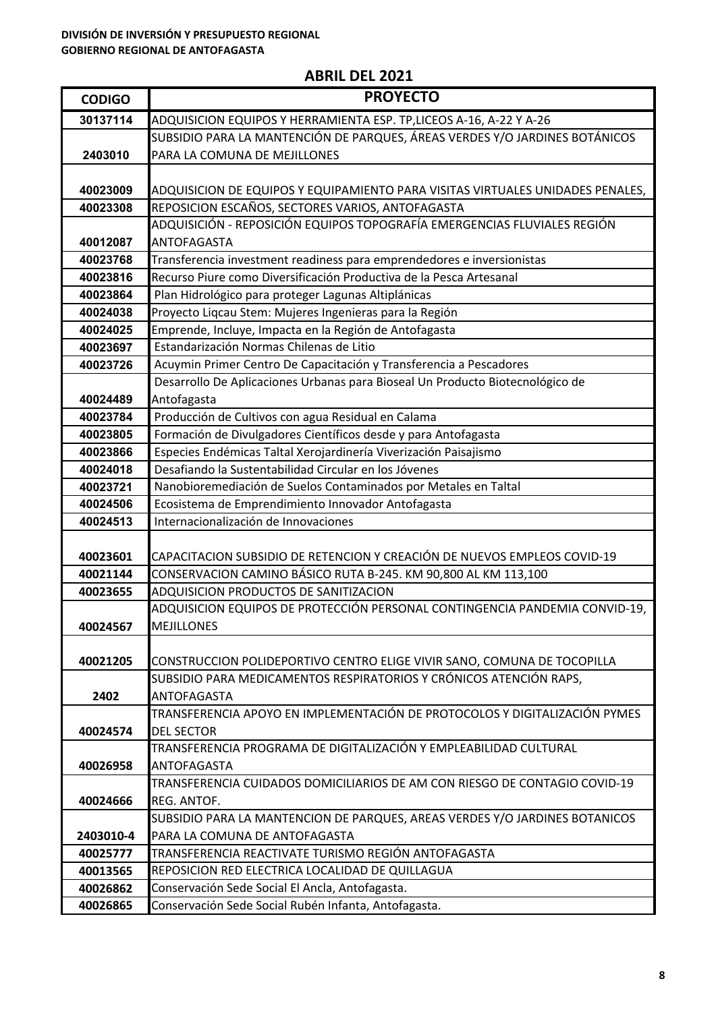| <b>CODIGO</b> | <b>PROYECTO</b>                                                                                  |
|---------------|--------------------------------------------------------------------------------------------------|
| 30137114      | ADQUISICION EQUIPOS Y HERRAMIENTA ESP. TP,LICEOS A-16, A-22 Y A-26                               |
|               | SUBSIDIO PARA LA MANTENCIÓN DE PARQUES, ÁREAS VERDES Y/O JARDINES BOTÁNICOS                      |
| 2403010       | PARA LA COMUNA DE MEJILLONES                                                                     |
|               |                                                                                                  |
| 40023009      | ADQUISICION DE EQUIPOS Y EQUIPAMIENTO PARA VISITAS VIRTUALES UNIDADES PENALES,                   |
| 40023308      | REPOSICION ESCAÑOS, SECTORES VARIOS, ANTOFAGASTA                                                 |
|               | ADQUISICIÓN - REPOSICIÓN EQUIPOS TOPOGRAFÍA EMERGENCIAS FLUVIALES REGIÓN                         |
| 40012087      | ANTOFAGASTA                                                                                      |
| 40023768      | Transferencia investment readiness para emprendedores e inversionistas                           |
| 40023816      | Recurso Piure como Diversificación Productiva de la Pesca Artesanal                              |
| 40023864      | Plan Hidrológico para proteger Lagunas Altiplánicas                                              |
| 40024038      | Proyecto Liqcau Stem: Mujeres Ingenieras para la Región                                          |
| 40024025      | Emprende, Incluye, Impacta en la Región de Antofagasta                                           |
| 40023697      | Estandarización Normas Chilenas de Litio                                                         |
| 40023726      | Acuymin Primer Centro De Capacitación y Transferencia a Pescadores                               |
|               | Desarrollo De Aplicaciones Urbanas para Bioseal Un Producto Biotecnológico de                    |
| 40024489      | Antofagasta                                                                                      |
| 40023784      | Producción de Cultivos con agua Residual en Calama                                               |
| 40023805      | Formación de Divulgadores Científicos desde y para Antofagasta                                   |
| 40023866      | Especies Endémicas Taltal Xerojardinería Viverización Paisajismo                                 |
| 40024018      | Desafiando la Sustentabilidad Circular en los Jóvenes                                            |
| 40023721      | Nanobioremediación de Suelos Contaminados por Metales en Taltal                                  |
| 40024506      | Ecosistema de Emprendimiento Innovador Antofagasta                                               |
| 40024513      | Internacionalización de Innovaciones                                                             |
|               |                                                                                                  |
| 40023601      | CAPACITACION SUBSIDIO DE RETENCION Y CREACIÓN DE NUEVOS EMPLEOS COVID-19                         |
| 40021144      | CONSERVACION CAMINO BÁSICO RUTA B-245. KM 90,800 AL KM 113,100                                   |
| 40023655      | ADQUISICION PRODUCTOS DE SANITIZACION                                                            |
|               | ADQUISICION EQUIPOS DE PROTECCIÓN PERSONAL CONTINGENCIA PANDEMIA CONVID-19,                      |
| 40024567      | <b>MEJILLONES</b>                                                                                |
|               |                                                                                                  |
| 40021205      | CONSTRUCCION POLIDEPORTIVO CENTRO ELIGE VIVIR SANO, COMUNA DE TOCOPILLA                          |
|               | SUBSIDIO PARA MEDICAMENTOS RESPIRATORIOS Y CRÓNICOS ATENCIÓN RAPS,                               |
| 2402          | ANTOFAGASTA                                                                                      |
|               | TRANSFERENCIA APOYO EN IMPLEMENTACIÓN DE PROTOCOLOS Y DIGITALIZACIÓN PYMES                       |
| 40024574      | <b>DEL SECTOR</b><br>TRANSFERENCIA PROGRAMA DE DIGITALIZACIÓN Y EMPLEABILIDAD CULTURAL           |
| 40026958      |                                                                                                  |
|               | <b>ANTOFAGASTA</b><br>TRANSFERENCIA CUIDADOS DOMICILIARIOS DE AM CON RIESGO DE CONTAGIO COVID-19 |
|               | REG. ANTOF.                                                                                      |
| 40024666      | SUBSIDIO PARA LA MANTENCION DE PARQUES, AREAS VERDES Y/O JARDINES BOTANICOS                      |
| 2403010-4     | PARA LA COMUNA DE ANTOFAGASTA                                                                    |
| 40025777      | TRANSFERENCIA REACTIVATE TURISMO REGIÓN ANTOFAGASTA                                              |
| 40013565      | REPOSICION RED ELECTRICA LOCALIDAD DE QUILLAGUA                                                  |
| 40026862      | Conservación Sede Social El Ancla, Antofagasta.                                                  |
| 40026865      | Conservación Sede Social Rubén Infanta, Antofagasta.                                             |
|               |                                                                                                  |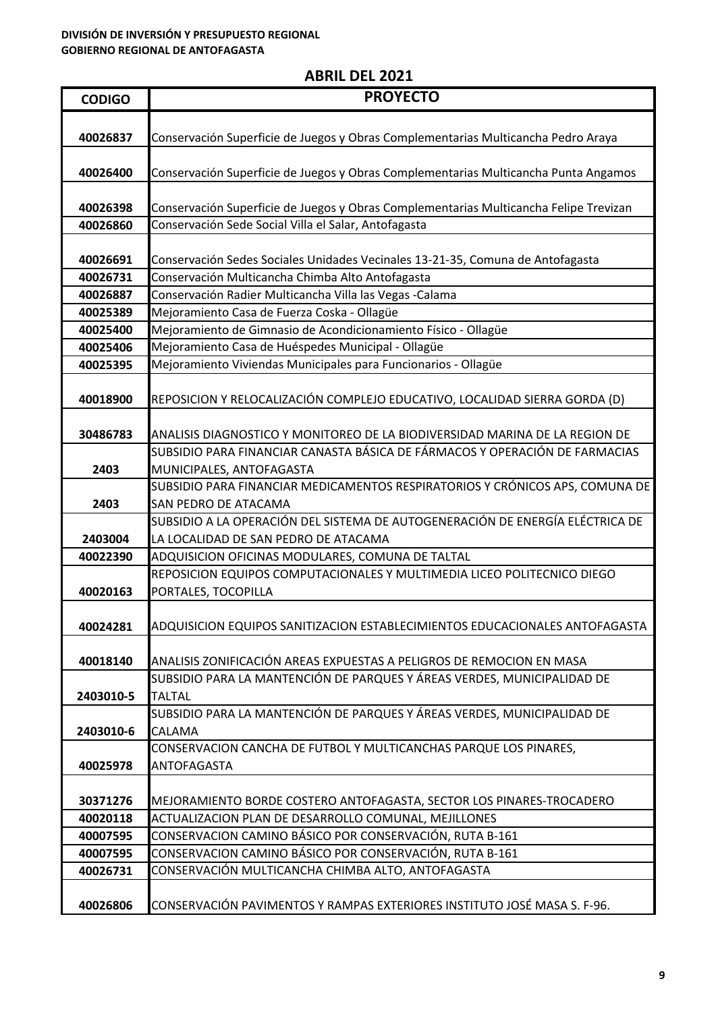| <b>CODIGO</b> | <b>PROYECTO</b>                                                                                                                                            |
|---------------|------------------------------------------------------------------------------------------------------------------------------------------------------------|
|               |                                                                                                                                                            |
| 40026837      | Conservación Superficie de Juegos y Obras Complementarias Multicancha Pedro Araya                                                                          |
|               |                                                                                                                                                            |
| 40026400      | Conservación Superficie de Juegos y Obras Complementarias Multicancha Punta Angamos                                                                        |
|               |                                                                                                                                                            |
| 40026398      | Conservación Superficie de Juegos y Obras Complementarias Multicancha Felipe Trevizan                                                                      |
| 40026860      | Conservación Sede Social Villa el Salar, Antofagasta                                                                                                       |
|               |                                                                                                                                                            |
| 40026691      | Conservación Sedes Sociales Unidades Vecinales 13-21-35, Comuna de Antofagasta                                                                             |
| 40026731      | Conservación Multicancha Chimba Alto Antofagasta                                                                                                           |
| 40026887      | Conservación Radier Multicancha Villa las Vegas -Calama                                                                                                    |
| 40025389      | Mejoramiento Casa de Fuerza Coska - Ollagüe                                                                                                                |
| 40025400      | Mejoramiento de Gimnasio de Acondicionamiento Físico - Ollagüe                                                                                             |
| 40025406      | Mejoramiento Casa de Huéspedes Municipal - Ollagüe                                                                                                         |
| 40025395      | Mejoramiento Viviendas Municipales para Funcionarios - Ollagüe                                                                                             |
|               |                                                                                                                                                            |
| 40018900      | REPOSICION Y RELOCALIZACIÓN COMPLEJO EDUCATIVO, LOCALIDAD SIERRA GORDA (D)                                                                                 |
|               |                                                                                                                                                            |
| 30486783      | ANALISIS DIAGNOSTICO Y MONITOREO DE LA BIODIVERSIDAD MARINA DE LA REGION DE<br>SUBSIDIO PARA FINANCIAR CANASTA BÁSICA DE FÁRMACOS Y OPERACIÓN DE FARMACIAS |
| 2403          | MUNICIPALES, ANTOFAGASTA                                                                                                                                   |
|               | SUBSIDIO PARA FINANCIAR MEDICAMENTOS RESPIRATORIOS Y CRÓNICOS APS, COMUNA DE                                                                               |
| 2403          | SAN PEDRO DE ATACAMA                                                                                                                                       |
|               | SUBSIDIO A LA OPERACIÓN DEL SISTEMA DE AUTOGENERACIÓN DE ENERGÍA ELÉCTRICA DE                                                                              |
| 2403004       | LA LOCALIDAD DE SAN PEDRO DE ATACAMA                                                                                                                       |
| 40022390      | ADQUISICION OFICINAS MODULARES, COMUNA DE TALTAL                                                                                                           |
|               | REPOSICION EQUIPOS COMPUTACIONALES Y MULTIMEDIA LICEO POLITECNICO DIEGO                                                                                    |
| 40020163      | PORTALES, TOCOPILLA                                                                                                                                        |
|               |                                                                                                                                                            |
| 40024281      | ADQUISICION EQUIPOS SANITIZACION ESTABLECIMIENTOS EDUCACIONALES ANTOFAGASTA                                                                                |
|               |                                                                                                                                                            |
| 40018140      | ANALISIS ZONIFICACIÓN AREAS EXPUESTAS A PELIGROS DE REMOCION EN MASA                                                                                       |
|               | SUBSIDIO PARA LA MANTENCIÓN DE PARQUES Y ÁREAS VERDES, MUNICIPALIDAD DE                                                                                    |
| 2403010-5     | <b>TALTAL</b>                                                                                                                                              |
|               | SUBSIDIO PARA LA MANTENCIÓN DE PARQUES Y ÁREAS VERDES, MUNICIPALIDAD DE                                                                                    |
| 2403010-6     | CALAMA                                                                                                                                                     |
| 40025978      | CONSERVACION CANCHA DE FUTBOL Y MULTICANCHAS PARQUE LOS PINARES,<br><b>ANTOFAGASTA</b>                                                                     |
|               |                                                                                                                                                            |
| 30371276      | MEJORAMIENTO BORDE COSTERO ANTOFAGASTA, SECTOR LOS PINARES-TROCADERO                                                                                       |
| 40020118      | ACTUALIZACION PLAN DE DESARROLLO COMUNAL, MEJILLONES                                                                                                       |
| 40007595      | CONSERVACION CAMINO BÁSICO POR CONSERVACIÓN, RUTA B-161                                                                                                    |
| 40007595      | CONSERVACION CAMINO BÁSICO POR CONSERVACIÓN, RUTA B-161                                                                                                    |
| 40026731      | CONSERVACIÓN MULTICANCHA CHIMBA ALTO, ANTOFAGASTA                                                                                                          |
|               |                                                                                                                                                            |
| 40026806      | CONSERVACIÓN PAVIMENTOS Y RAMPAS EXTERIORES INSTITUTO JOSÉ MASA S. F-96.                                                                                   |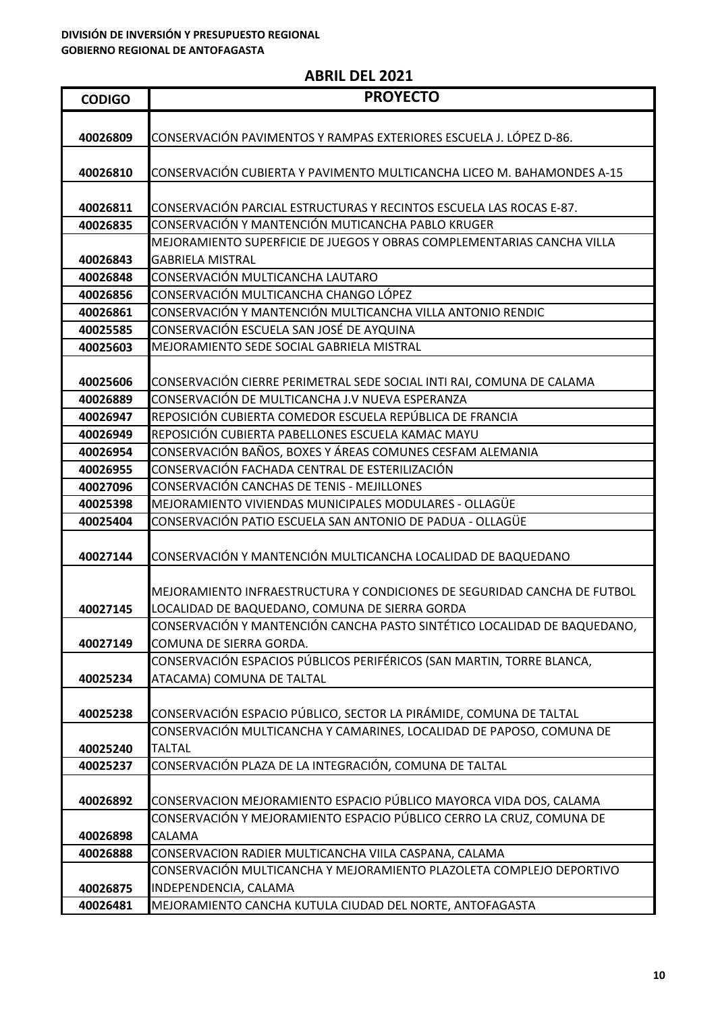| <b>CODIGO</b>        | <b>PROYECTO</b>                                                                                     |
|----------------------|-----------------------------------------------------------------------------------------------------|
|                      |                                                                                                     |
| 40026809             | CONSERVACIÓN PAVIMENTOS Y RAMPAS EXTERIORES ESCUELA J. LÓPEZ D-86.                                  |
|                      |                                                                                                     |
| 40026810             | CONSERVACIÓN CUBIERTA Y PAVIMENTO MULTICANCHA LICEO M. BAHAMONDES A-15                              |
|                      |                                                                                                     |
| 40026811             | CONSERVACIÓN PARCIAL ESTRUCTURAS Y RECINTOS ESCUELA LAS ROCAS E-87.                                 |
| 40026835             | CONSERVACIÓN Y MANTENCIÓN MUTICANCHA PABLO KRUGER                                                   |
|                      | MEJORAMIENTO SUPERFICIE DE JUEGOS Y OBRAS COMPLEMENTARIAS CANCHA VILLA                              |
| 40026843             | <b>GABRIELA MISTRAL</b>                                                                             |
| 40026848             | CONSERVACIÓN MULTICANCHA LAUTARO                                                                    |
| 40026856             | CONSERVACIÓN MULTICANCHA CHANGO LÓPEZ<br>CONSERVACIÓN Y MANTENCIÓN MULTICANCHA VILLA ANTONIO RENDIC |
| 40026861<br>40025585 | CONSERVACIÓN ESCUELA SAN JOSÉ DE AYQUINA                                                            |
| 40025603             | MEJORAMIENTO SEDE SOCIAL GABRIELA MISTRAL                                                           |
|                      |                                                                                                     |
| 40025606             | CONSERVACIÓN CIERRE PERIMETRAL SEDE SOCIAL INTI RAI, COMUNA DE CALAMA                               |
| 40026889             | CONSERVACIÓN DE MULTICANCHA J.V NUEVA ESPERANZA                                                     |
| 40026947             | REPOSICIÓN CUBIERTA COMEDOR ESCUELA REPÚBLICA DE FRANCIA                                            |
| 40026949             | REPOSICIÓN CUBIERTA PABELLONES ESCUELA KAMAC MAYU                                                   |
| 40026954             | CONSERVACIÓN BAÑOS, BOXES Y ÁREAS COMUNES CESFAM ALEMANIA                                           |
| 40026955             | CONSERVACIÓN FACHADA CENTRAL DE ESTERILIZACIÓN                                                      |
| 40027096             | CONSERVACIÓN CANCHAS DE TENIS - MEJILLONES                                                          |
| 40025398             | MEJORAMIENTO VIVIENDAS MUNICIPALES MODULARES - OLLAGÜE                                              |
| 40025404             | CONSERVACIÓN PATIO ESCUELA SAN ANTONIO DE PADUA - OLLAGÜE                                           |
|                      |                                                                                                     |
| 40027144             | CONSERVACIÓN Y MANTENCIÓN MULTICANCHA LOCALIDAD DE BAQUEDANO                                        |
|                      |                                                                                                     |
|                      | MEJORAMIENTO INFRAESTRUCTURA Y CONDICIONES DE SEGURIDAD CANCHA DE FUTBOL                            |
| 40027145             | LOCALIDAD DE BAQUEDANO, COMUNA DE SIERRA GORDA                                                      |
|                      | CONSERVACIÓN Y MANTENCIÓN CANCHA PASTO SINTÉTICO LOCALIDAD DE BAQUEDANO,                            |
| 40027149             | COMUNA DE SIERRA GORDA.                                                                             |
|                      | CONSERVACIÓN ESPACIOS PÚBLICOS PERIFÉRICOS (SAN MARTIN, TORRE BLANCA,                               |
| 40025234             | ATACAMA) COMUNA DE TALTAL                                                                           |
| 40025238             | CONSERVACIÓN ESPACIO PÚBLICO, SECTOR LA PIRÁMIDE, COMUNA DE TALTAL                                  |
|                      | CONSERVACIÓN MULTICANCHA Y CAMARINES, LOCALIDAD DE PAPOSO, COMUNA DE                                |
| 40025240             | <b>TALTAL</b>                                                                                       |
| 40025237             | CONSERVACIÓN PLAZA DE LA INTEGRACIÓN, COMUNA DE TALTAL                                              |
|                      |                                                                                                     |
| 40026892             | CONSERVACION MEJORAMIENTO ESPACIO PÚBLICO MAYORCA VIDA DOS, CALAMA                                  |
|                      | CONSERVACIÓN Y MEJORAMIENTO ESPACIO PÚBLICO CERRO LA CRUZ, COMUNA DE                                |
| 40026898             | CALAMA                                                                                              |
| 40026888             | CONSERVACION RADIER MULTICANCHA VIILA CASPANA, CALAMA                                               |
|                      | CONSERVACIÓN MULTICANCHA Y MEJORAMIENTO PLAZOLETA COMPLEJO DEPORTIVO                                |
| 40026875             | INDEPENDENCIA, CALAMA                                                                               |
| 40026481             | MEJORAMIENTO CANCHA KUTULA CIUDAD DEL NORTE, ANTOFAGASTA                                            |